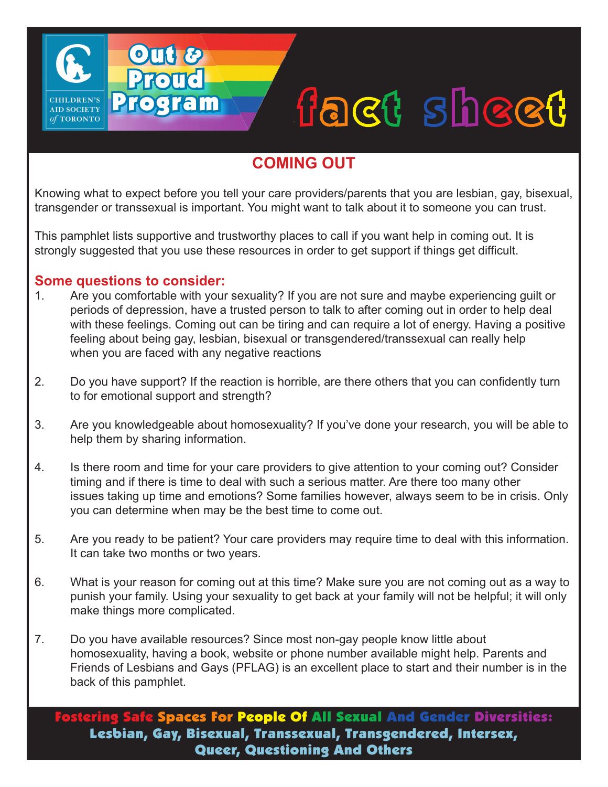# fact sheet

### **COMING OUT**

Knowing what to expect before you tell your care providers/parents that you are lesbian, gay, bisexual, transgender or transsexual is important. You might want to talk about it to someone you can trust.

This pamphlet lists supportive and trustworthy places to call if you want help in coming out. It is strongly suggested that you use these resources in order to get support if things get difficult.

## **Some questions to consider:**<br>1. Are you comfortable with your

**AID SOCIETY** TORONTO

Out &

**Proud** 

Program

- Are you comfortable with your sexuality? If you are not sure and maybe experiencing guilt or periods of depression, have a trusted person to talk to after coming out in order to help deal with these feelings. Coming out can be tiring and can require a lot of energy. Having a positive feeling about being gay, lesbian, bisexual or transgendered/transsexual can really help when you are faced with any negative reactions
- 2. Do you have support? If the reaction is horrible, are there others that you can confidently turn to for emotional support and strength?
- 3. Are you knowledgeable about homosexuality? If you've done your research, you will be able to help them by sharing information.
- 4. Is there room and time for your care providers to give attention to your coming out? Consider timing and if there is time to deal with such a serious matter. Are there too many other issues taking up time and emotions? Some families however, always seem to be in crisis. Only you can determine when may be the best time to come out.
- 5. Are you ready to be patient? Your care providers may require time to deal with this information. It can take two months or two years.
- 6. What is your reason for coming out at this time? Make sure you are not coming out as a way to punish your family. Using your sexuality to get back at your family will not be helpful; it will only make things more complicated.
- 7. Do you have available resources? Since most non-gay people know little about homosexuality, having a book, website or phone number available might help. Parents and Friends of Lesbians and Gays (PFLAG) is an excellent place to start and their number is in the back of this pamphlet.

stering Safe Spaces For People Of All Sexual And Gender Diversities: Lesbian, Gay, Bisexual, Transsexual, Transgendered, Intersex, Queer, Questioning And Others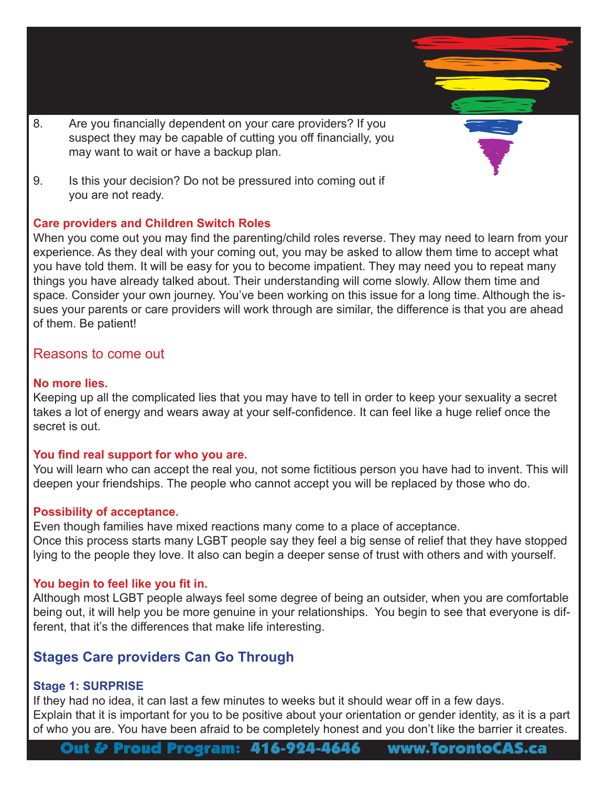- 8. Are you financially dependent on your care providers? If you suspect they may be capable of cutting you off financially, you may want to wait or have a backup plan.
- 9. Is this your decision? Do not be pressured into coming out if you are not ready.

#### **Care providers and Children Switch Roles**

When you come out you may find the parenting/child roles reverse. They may need to learn from your experience. As they deal with your coming out, you may be asked to allow them time to accept what you have told them. It will be easy for you to become impatient. They may need you to repeat many things you have already talked about. Their understanding will come slowly. Allow them time and space. Consider your own journey. You've been working on this issue for a long time. Although the issues your parents or care providers will work through are similar, the difference is that you are ahead of them. Be patient!

#### Reasons to come out

#### **No more lies.**

Keeping up all the complicated lies that you may have to tell in order to keep your sexuality a secret takes a lot of energy and wears away at your self-confidence. It can feel like a huge relief once the secret is out.

#### **You find real support for who you are.**

You will learn who can accept the real you, not some fictitious person you have had to invent. This will deepen your friendships. The people who cannot accept you will be replaced by those who do.

#### **Possibility of acceptance.**

Even though families have mixed reactions many come to a place of acceptance. Once this process starts many LGBT people say they feel a big sense of relief that they have stopped lying to the people they love. It also can begin a deeper sense of trust with others and with yourself.

#### **You begin to feel like you fit in.**

Although most LGBT people always feel some degree of being an outsider, when you are comfortable being out, it will help you be more genuine in your relationships. You begin to see that everyone is different, that it's the differences that make life interesting.

#### **Stages Care providers Can Go Through**

#### **Stage 1: SURPRISE**

If they had no idea, it can last a few minutes to weeks but it should wear off in a few days. Explain that it is important for you to be positive about your orientation or gender identity, as it is a part of who you are. You have been afraid to be completely honest and you don't like the barrier it creates.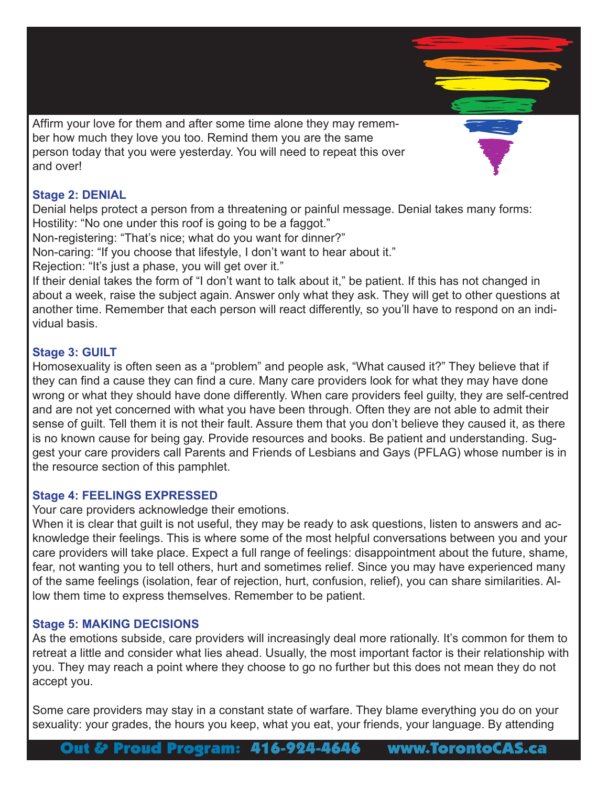Affirm your love for them and after some time alone they may remember how much they love you too. Remind them you are the same person today that you were yesterday. You will need to repeat this over and over!

#### **Stage 2: DENIAL**

Denial helps protect a person from a threatening or painful message. Denial takes many forms: Hostility: "No one under this roof is going to be a faggot."

Non-registering: "That's nice; what do you want for dinner?"

Non-caring: "If you choose that lifestyle, I don't want to hear about it."

Rejection: "It's just a phase, you will get over it."

If their denial takes the form of "I don't want to talk about it," be patient. If this has not changed in about a week, raise the subject again. Answer only what they ask. They will get to other questions at another time. Remember that each person will react differently, so you'll have to respond on an individual basis.

#### **Stage 3: GUILT**

Homosexuality is often seen as a "problem" and people ask, "What caused it?" They believe that if they can find a cause they can find a cure. Many care providers look for what they may have done wrong or what they should have done differently. When care providers feel guilty, they are self-centred and are not yet concerned with what you have been through. Often they are not able to admit their sense of guilt. Tell them it is not their fault. Assure them that you don't believe they caused it, as there is no known cause for being gay. Provide resources and books. Be patient and understanding. Suggest your care providers call Parents and Friends of Lesbians and Gays (PFLAG) whose number is in the resource section of this pamphlet.

#### **Stage 4: FEELINGS EXPRESSED**

Your care providers acknowledge their emotions.

When it is clear that guilt is not useful, they may be ready to ask questions, listen to answers and acknowledge their feelings. This is where some of the most helpful conversations between you and your care providers will take place. Expect a full range of feelings: disappointment about the future, shame, fear, not wanting you to tell others, hurt and sometimes relief. Since you may have experienced many of the same feelings (isolation, fear of rejection, hurt, confusion, relief), you can share similarities. Allow them time to express themselves. Remember to be patient.

#### **Stage 5: MAKING DECISIONS**

As the emotions subside, care providers will increasingly deal more rationally. It's common for them to retreat a little and consider what lies ahead. Usually, the most important factor is their relationship with you. They may reach a point where they choose to go no further but this does not mean they do not accept you.

Some care providers may stay in a constant state of warfare. They blame everything you do on your sexuality: your grades, the hours you keep, what you eat, your friends, your language. By attending